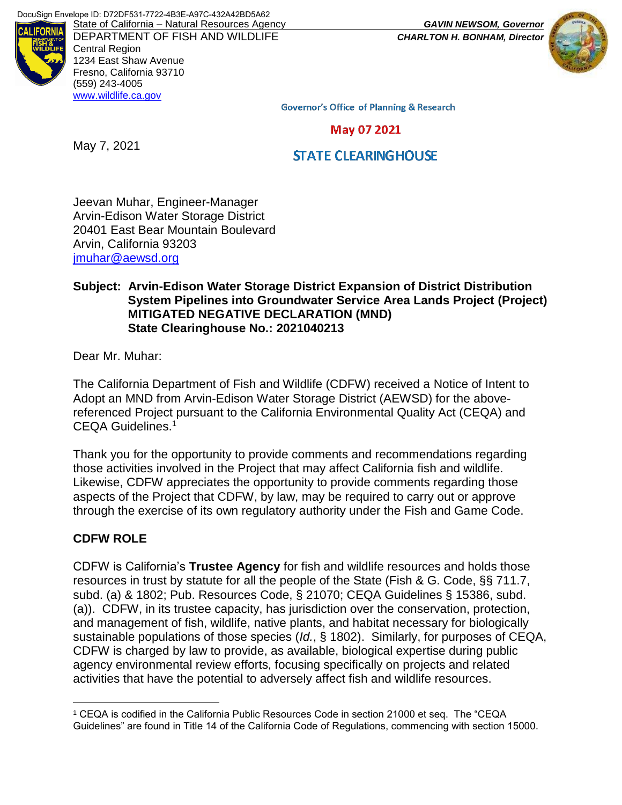**ALIFORNI** 

DEPARTMENT OF FISH AND WILDLIFE *CHARLTON H. BONHAM, Director* Central Region 1234 East Shaw Avenue Fresno, California 93710 (559) 243-4005 [www.wildlife.ca.gov](http://www.wildlife.ca.gov/)



**Governor's Office of Planning & Research** 

May 07 2021

May 7, 2021

**STATE CLEARING HOUSE** 

Jeevan Muhar, Engineer-Manager Arvin-Edison Water Storage District 20401 East Bear Mountain Boulevard Arvin, California 93203 [jmuhar@aewsd.org](mailto:jmuhar@aewsd.org)

#### **Subject: Arvin-Edison Water Storage District Expansion of District Distribution System Pipelines into Groundwater Service Area Lands Project (Project) MITIGATED NEGATIVE DECLARATION (MND) State Clearinghouse No.: 2021040213**

Dear Mr. Muhar:

The California Department of Fish and Wildlife (CDFW) received a Notice of Intent to Adopt an MND from Arvin-Edison Water Storage District (AEWSD) for the abovereferenced Project pursuant to the California Environmental Quality Act (CEQA) and CEQA Guidelines.<sup>1</sup>

Thank you for the opportunity to provide comments and recommendations regarding those activities involved in the Project that may affect California fish and wildlife. Likewise, CDFW appreciates the opportunity to provide comments regarding those aspects of the Project that CDFW, by law, may be required to carry out or approve through the exercise of its own regulatory authority under the Fish and Game Code.

# **CDFW ROLE**

 $\overline{a}$ 

CDFW is California's **Trustee Agency** for fish and wildlife resources and holds those resources in trust by statute for all the people of the State (Fish & G. Code, §§ 711.7, subd. (a) & 1802; Pub. Resources Code, § 21070; CEQA Guidelines § 15386, subd. (a)). CDFW, in its trustee capacity, has jurisdiction over the conservation, protection, and management of fish, wildlife, native plants, and habitat necessary for biologically sustainable populations of those species (*Id.*, § 1802). Similarly, for purposes of CEQA, CDFW is charged by law to provide, as available, biological expertise during public agency environmental review efforts, focusing specifically on projects and related activities that have the potential to adversely affect fish and wildlife resources.

<sup>1</sup> CEQA is codified in the California Public Resources Code in section 21000 et seq. The "CEQA Guidelines" are found in Title 14 of the California Code of Regulations, commencing with section 15000.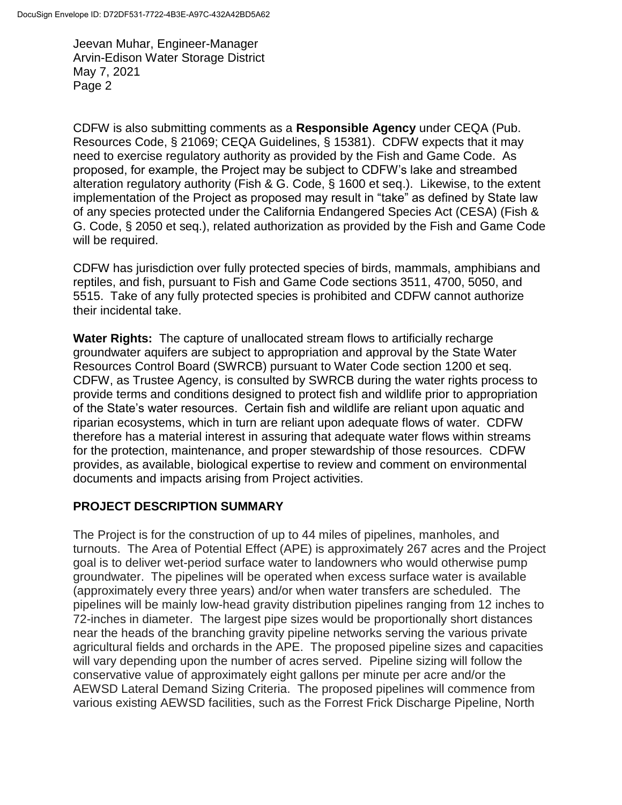CDFW is also submitting comments as a **Responsible Agency** under CEQA (Pub. Resources Code, § 21069; CEQA Guidelines, § 15381). CDFW expects that it may need to exercise regulatory authority as provided by the Fish and Game Code. As proposed, for example, the Project may be subject to CDFW's lake and streambed alteration regulatory authority (Fish & G. Code, § 1600 et seq.). Likewise, to the extent implementation of the Project as proposed may result in "take" as defined by State law of any species protected under the California Endangered Species Act (CESA) (Fish & G. Code, § 2050 et seq.), related authorization as provided by the Fish and Game Code will be required.

CDFW has jurisdiction over fully protected species of birds, mammals, amphibians and reptiles, and fish, pursuant to Fish and Game Code sections 3511, 4700, 5050, and 5515. Take of any fully protected species is prohibited and CDFW cannot authorize their incidental take.

**Water Rights:** The capture of unallocated stream flows to artificially recharge groundwater aquifers are subject to appropriation and approval by the State Water Resources Control Board (SWRCB) pursuant to Water Code section 1200 et seq. CDFW, as Trustee Agency, is consulted by SWRCB during the water rights process to provide terms and conditions designed to protect fish and wildlife prior to appropriation of the State's water resources. Certain fish and wildlife are reliant upon aquatic and riparian ecosystems, which in turn are reliant upon adequate flows of water. CDFW therefore has a material interest in assuring that adequate water flows within streams for the protection, maintenance, and proper stewardship of those resources. CDFW provides, as available, biological expertise to review and comment on environmental documents and impacts arising from Project activities.

# **PROJECT DESCRIPTION SUMMARY**

The Project is for the construction of up to 44 miles of pipelines, manholes, and turnouts. The Area of Potential Effect (APE) is approximately 267 acres and the Project goal is to deliver wet-period surface water to landowners who would otherwise pump groundwater. The pipelines will be operated when excess surface water is available (approximately every three years) and/or when water transfers are scheduled. The pipelines will be mainly low-head gravity distribution pipelines ranging from 12 inches to 72-inches in diameter. The largest pipe sizes would be proportionally short distances near the heads of the branching gravity pipeline networks serving the various private agricultural fields and orchards in the APE. The proposed pipeline sizes and capacities will vary depending upon the number of acres served. Pipeline sizing will follow the conservative value of approximately eight gallons per minute per acre and/or the AEWSD Lateral Demand Sizing Criteria. The proposed pipelines will commence from various existing AEWSD facilities, such as the Forrest Frick Discharge Pipeline, North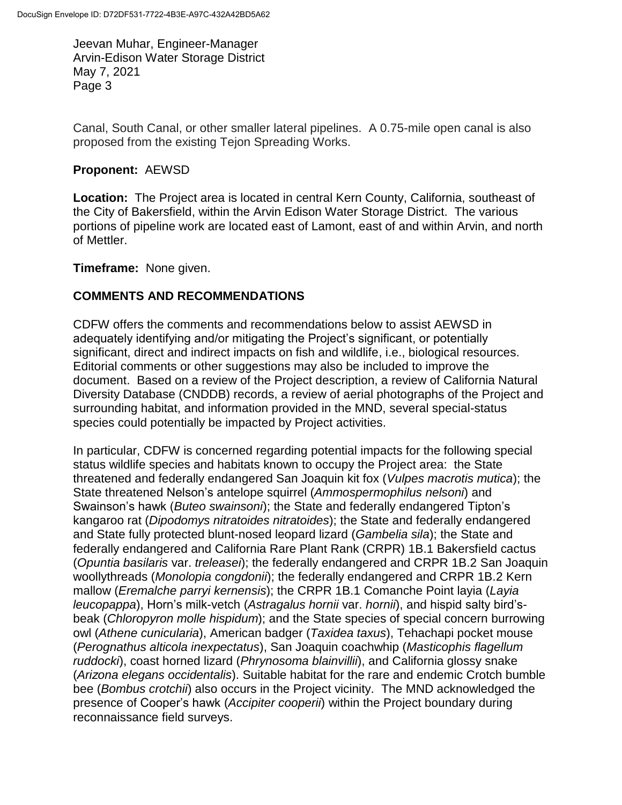Canal, South Canal, or other smaller lateral pipelines. A 0.75-mile open canal is also proposed from the existing Tejon Spreading Works.

### **Proponent:** AEWSD

**Location:** The Project area is located in central Kern County, California, southeast of the City of Bakersfield, within the Arvin Edison Water Storage District. The various portions of pipeline work are located east of Lamont, east of and within Arvin, and north of Mettler.

**Timeframe:** None given.

### **COMMENTS AND RECOMMENDATIONS**

CDFW offers the comments and recommendations below to assist AEWSD in adequately identifying and/or mitigating the Project's significant, or potentially significant, direct and indirect impacts on fish and wildlife, i.e., biological resources. Editorial comments or other suggestions may also be included to improve the document. Based on a review of the Project description, a review of California Natural Diversity Database (CNDDB) records, a review of aerial photographs of the Project and surrounding habitat, and information provided in the MND, several special-status species could potentially be impacted by Project activities.

In particular, CDFW is concerned regarding potential impacts for the following special status wildlife species and habitats known to occupy the Project area: the State threatened and federally endangered San Joaquin kit fox (*Vulpes macrotis mutica*); the State threatened Nelson's antelope squirrel (*Ammospermophilus nelsoni*) and Swainson's hawk (*Buteo swainsoni*); the State and federally endangered Tipton's kangaroo rat (*Dipodomys nitratoides nitratoides*); the State and federally endangered and State fully protected blunt-nosed leopard lizard (*Gambelia sila*); the State and federally endangered and California Rare Plant Rank (CRPR) 1B.1 Bakersfield cactus (*Opuntia basilaris* var. *treleasei*); the federally endangered and CRPR 1B.2 San Joaquin woollythreads (*Monolopia congdonii*); the federally endangered and CRPR 1B.2 Kern mallow (*Eremalche parryi kernensis*); the CRPR 1B.1 Comanche Point layia (*Layia leucopappa*), Horn's milk-vetch (*Astragalus hornii* var. *hornii*), and hispid salty bird'sbeak (*Chloropyron molle hispidum*); and the State species of special concern burrowing owl (*Athene cunicularia*), American badger (*Taxidea taxus*), Tehachapi pocket mouse (*Perognathus alticola inexpectatus*), San Joaquin coachwhip (*Masticophis flagellum ruddocki*), coast horned lizard (*Phrynosoma blainvillii*), and California glossy snake (*Arizona elegans occidentalis*). Suitable habitat for the rare and endemic Crotch bumble bee (*Bombus crotchii*) also occurs in the Project vicinity. The MND acknowledged the presence of Cooper's hawk (*Accipiter cooperii*) within the Project boundary during reconnaissance field surveys.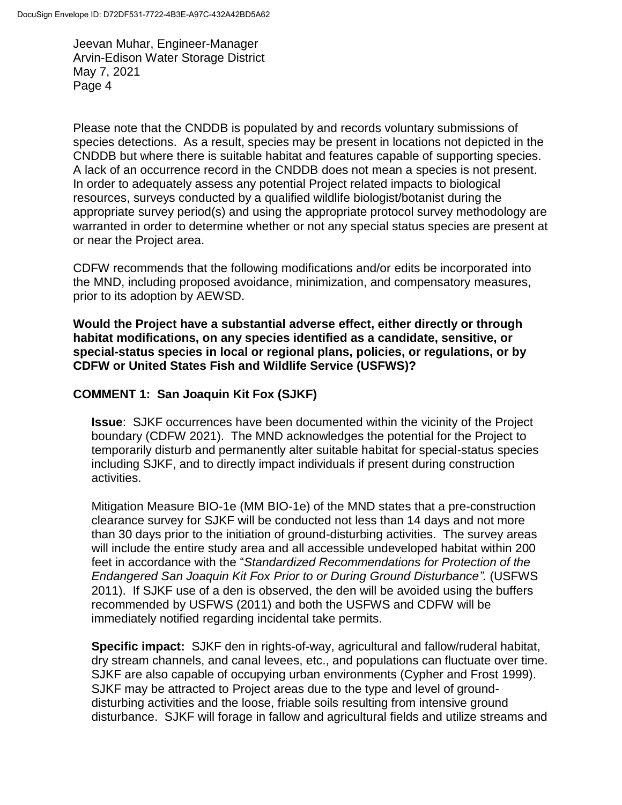Please note that the CNDDB is populated by and records voluntary submissions of species detections. As a result, species may be present in locations not depicted in the CNDDB but where there is suitable habitat and features capable of supporting species. A lack of an occurrence record in the CNDDB does not mean a species is not present. In order to adequately assess any potential Project related impacts to biological resources, surveys conducted by a qualified wildlife biologist/botanist during the appropriate survey period(s) and using the appropriate protocol survey methodology are warranted in order to determine whether or not any special status species are present at or near the Project area.

CDFW recommends that the following modifications and/or edits be incorporated into the MND, including proposed avoidance, minimization, and compensatory measures, prior to its adoption by AEWSD.

**Would the Project have a substantial adverse effect, either directly or through habitat modifications, on any species identified as a candidate, sensitive, or special-status species in local or regional plans, policies, or regulations, or by CDFW or United States Fish and Wildlife Service (USFWS)?**

### **COMMENT 1: San Joaquin Kit Fox (SJKF)**

**Issue**: SJKF occurrences have been documented within the vicinity of the Project boundary (CDFW 2021). The MND acknowledges the potential for the Project to temporarily disturb and permanently alter suitable habitat for special-status species including SJKF, and to directly impact individuals if present during construction activities.

Mitigation Measure BIO-1e (MM BIO-1e) of the MND states that a pre-construction clearance survey for SJKF will be conducted not less than 14 days and not more than 30 days prior to the initiation of ground-disturbing activities. The survey areas will include the entire study area and all accessible undeveloped habitat within 200 feet in accordance with the "*Standardized Recommendations for Protection of the Endangered San Joaquin Kit Fox Prior to or During Ground Disturbance".* (USFWS 2011). If SJKF use of a den is observed, the den will be avoided using the buffers recommended by USFWS (2011) and both the USFWS and CDFW will be immediately notified regarding incidental take permits.

**Specific impact:** SJKF den in rights-of-way, agricultural and fallow/ruderal habitat, dry stream channels, and canal levees, etc., and populations can fluctuate over time. SJKF are also capable of occupying urban environments (Cypher and Frost 1999). SJKF may be attracted to Project areas due to the type and level of grounddisturbing activities and the loose, friable soils resulting from intensive ground disturbance. SJKF will forage in fallow and agricultural fields and utilize streams and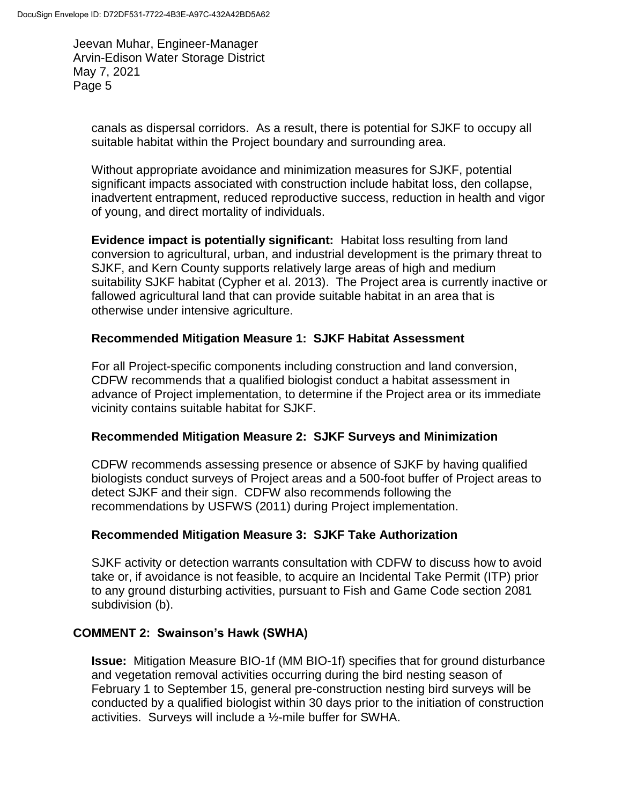canals as dispersal corridors. As a result, there is potential for SJKF to occupy all suitable habitat within the Project boundary and surrounding area.

Without appropriate avoidance and minimization measures for SJKF, potential significant impacts associated with construction include habitat loss, den collapse, inadvertent entrapment, reduced reproductive success, reduction in health and vigor of young, and direct mortality of individuals.

**Evidence impact is potentially significant:** Habitat loss resulting from land conversion to agricultural, urban, and industrial development is the primary threat to SJKF, and Kern County supports relatively large areas of high and medium suitability SJKF habitat (Cypher et al. 2013). The Project area is currently inactive or fallowed agricultural land that can provide suitable habitat in an area that is otherwise under intensive agriculture.

# **Recommended Mitigation Measure 1: SJKF Habitat Assessment**

For all Project-specific components including construction and land conversion, CDFW recommends that a qualified biologist conduct a habitat assessment in advance of Project implementation, to determine if the Project area or its immediate vicinity contains suitable habitat for SJKF.

# **Recommended Mitigation Measure 2: SJKF Surveys and Minimization**

CDFW recommends assessing presence or absence of SJKF by having qualified biologists conduct surveys of Project areas and a 500-foot buffer of Project areas to detect SJKF and their sign. CDFW also recommends following the recommendations by USFWS (2011) during Project implementation.

# **Recommended Mitigation Measure 3: SJKF Take Authorization**

SJKF activity or detection warrants consultation with CDFW to discuss how to avoid take or, if avoidance is not feasible, to acquire an Incidental Take Permit (ITP) prior to any ground disturbing activities, pursuant to Fish and Game Code section 2081 subdivision (b).

# **COMMENT 2: Swainson's Hawk (SWHA)**

**Issue:** Mitigation Measure BIO-1f (MM BIO-1f) specifies that for ground disturbance and vegetation removal activities occurring during the bird nesting season of February 1 to September 15, general pre-construction nesting bird surveys will be conducted by a qualified biologist within 30 days prior to the initiation of construction activities. Surveys will include a ½-mile buffer for SWHA.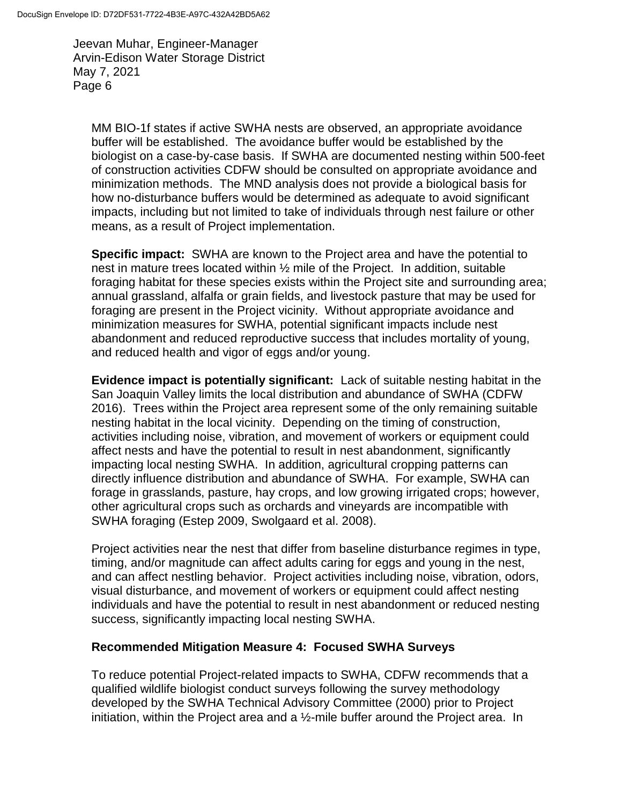MM BIO-1f states if active SWHA nests are observed, an appropriate avoidance buffer will be established. The avoidance buffer would be established by the biologist on a case-by-case basis. If SWHA are documented nesting within 500-feet of construction activities CDFW should be consulted on appropriate avoidance and minimization methods. The MND analysis does not provide a biological basis for how no-disturbance buffers would be determined as adequate to avoid significant impacts, including but not limited to take of individuals through nest failure or other means, as a result of Project implementation.

**Specific impact:** SWHA are known to the Project area and have the potential to nest in mature trees located within ½ mile of the Project. In addition, suitable foraging habitat for these species exists within the Project site and surrounding area; annual grassland, alfalfa or grain fields, and livestock pasture that may be used for foraging are present in the Project vicinity. Without appropriate avoidance and minimization measures for SWHA, potential significant impacts include nest abandonment and reduced reproductive success that includes mortality of young, and reduced health and vigor of eggs and/or young.

**Evidence impact is potentially significant:** Lack of suitable nesting habitat in the San Joaquin Valley limits the local distribution and abundance of SWHA (CDFW 2016). Trees within the Project area represent some of the only remaining suitable nesting habitat in the local vicinity. Depending on the timing of construction, activities including noise, vibration, and movement of workers or equipment could affect nests and have the potential to result in nest abandonment, significantly impacting local nesting SWHA. In addition, agricultural cropping patterns can directly influence distribution and abundance of SWHA. For example, SWHA can forage in grasslands, pasture, hay crops, and low growing irrigated crops; however, other agricultural crops such as orchards and vineyards are incompatible with SWHA foraging (Estep 2009, Swolgaard et al. 2008).

Project activities near the nest that differ from baseline disturbance regimes in type, timing, and/or magnitude can affect adults caring for eggs and young in the nest, and can affect nestling behavior. Project activities including noise, vibration, odors, visual disturbance, and movement of workers or equipment could affect nesting individuals and have the potential to result in nest abandonment or reduced nesting success, significantly impacting local nesting SWHA.

### **Recommended Mitigation Measure 4: Focused SWHA Surveys**

To reduce potential Project-related impacts to SWHA, CDFW recommends that a qualified wildlife biologist conduct surveys following the survey methodology developed by the SWHA Technical Advisory Committee (2000) prior to Project initiation, within the Project area and a ½-mile buffer around the Project area. In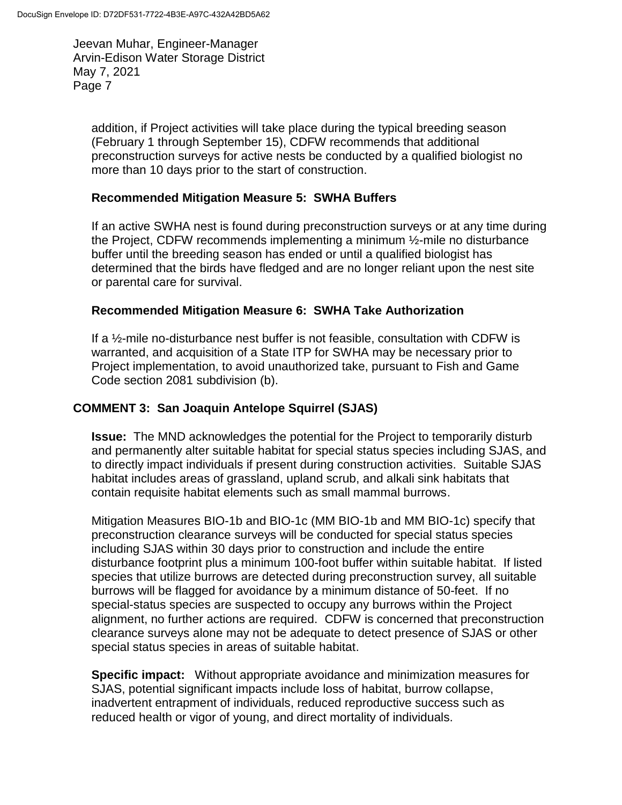addition, if Project activities will take place during the typical breeding season (February 1 through September 15), CDFW recommends that additional preconstruction surveys for active nests be conducted by a qualified biologist no more than 10 days prior to the start of construction.

### **Recommended Mitigation Measure 5: SWHA Buffers**

If an active SWHA nest is found during preconstruction surveys or at any time during the Project, CDFW recommends implementing a minimum ½-mile no disturbance buffer until the breeding season has ended or until a qualified biologist has determined that the birds have fledged and are no longer reliant upon the nest site or parental care for survival.

### **Recommended Mitigation Measure 6: SWHA Take Authorization**

If a ½-mile no-disturbance nest buffer is not feasible, consultation with CDFW is warranted, and acquisition of a State ITP for SWHA may be necessary prior to Project implementation, to avoid unauthorized take, pursuant to Fish and Game Code section 2081 subdivision (b).

# **COMMENT 3: San Joaquin Antelope Squirrel (SJAS)**

**Issue:** The MND acknowledges the potential for the Project to temporarily disturb and permanently alter suitable habitat for special status species including SJAS, and to directly impact individuals if present during construction activities. Suitable SJAS habitat includes areas of grassland, upland scrub, and alkali sink habitats that contain requisite habitat elements such as small mammal burrows.

Mitigation Measures BIO-1b and BIO-1c (MM BIO-1b and MM BIO-1c) specify that preconstruction clearance surveys will be conducted for special status species including SJAS within 30 days prior to construction and include the entire disturbance footprint plus a minimum 100-foot buffer within suitable habitat. If listed species that utilize burrows are detected during preconstruction survey, all suitable burrows will be flagged for avoidance by a minimum distance of 50-feet. If no special-status species are suspected to occupy any burrows within the Project alignment, no further actions are required. CDFW is concerned that preconstruction clearance surveys alone may not be adequate to detect presence of SJAS or other special status species in areas of suitable habitat.

**Specific impact:** Without appropriate avoidance and minimization measures for SJAS, potential significant impacts include loss of habitat, burrow collapse, inadvertent entrapment of individuals, reduced reproductive success such as reduced health or vigor of young, and direct mortality of individuals.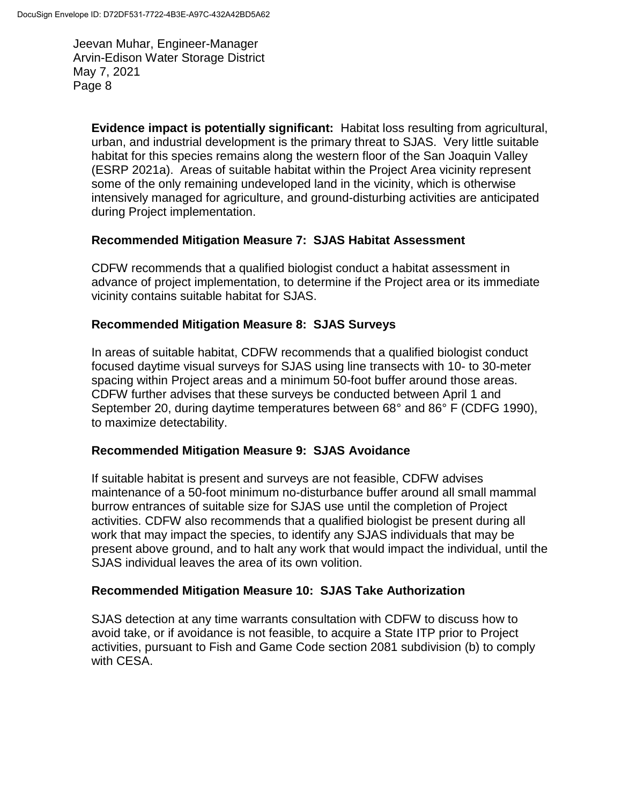**Evidence impact is potentially significant:** Habitat loss resulting from agricultural, urban, and industrial development is the primary threat to SJAS. Very little suitable habitat for this species remains along the western floor of the San Joaquin Valley (ESRP 2021a). Areas of suitable habitat within the Project Area vicinity represent some of the only remaining undeveloped land in the vicinity, which is otherwise intensively managed for agriculture, and ground-disturbing activities are anticipated during Project implementation.

### **Recommended Mitigation Measure 7: SJAS Habitat Assessment**

CDFW recommends that a qualified biologist conduct a habitat assessment in advance of project implementation, to determine if the Project area or its immediate vicinity contains suitable habitat for SJAS.

### **Recommended Mitigation Measure 8: SJAS Surveys**

In areas of suitable habitat, CDFW recommends that a qualified biologist conduct focused daytime visual surveys for SJAS using line transects with 10- to 30-meter spacing within Project areas and a minimum 50-foot buffer around those areas. CDFW further advises that these surveys be conducted between April 1 and September 20, during daytime temperatures between 68° and 86° F (CDFG 1990), to maximize detectability.

# **Recommended Mitigation Measure 9: SJAS Avoidance**

If suitable habitat is present and surveys are not feasible, CDFW advises maintenance of a 50-foot minimum no-disturbance buffer around all small mammal burrow entrances of suitable size for SJAS use until the completion of Project activities. CDFW also recommends that a qualified biologist be present during all work that may impact the species, to identify any SJAS individuals that may be present above ground, and to halt any work that would impact the individual, until the SJAS individual leaves the area of its own volition.

# **Recommended Mitigation Measure 10: SJAS Take Authorization**

SJAS detection at any time warrants consultation with CDFW to discuss how to avoid take, or if avoidance is not feasible, to acquire a State ITP prior to Project activities, pursuant to Fish and Game Code section 2081 subdivision (b) to comply with CESA.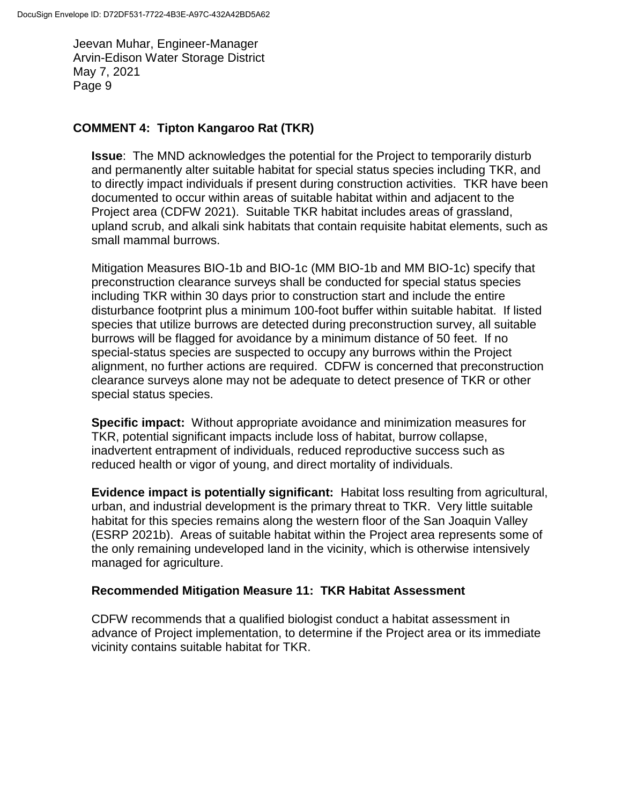### **COMMENT 4: Tipton Kangaroo Rat (TKR)**

**Issue**: The MND acknowledges the potential for the Project to temporarily disturb and permanently alter suitable habitat for special status species including TKR, and to directly impact individuals if present during construction activities. TKR have been documented to occur within areas of suitable habitat within and adjacent to the Project area (CDFW 2021). Suitable TKR habitat includes areas of grassland, upland scrub, and alkali sink habitats that contain requisite habitat elements, such as small mammal burrows.

Mitigation Measures BIO-1b and BIO-1c (MM BIO-1b and MM BIO-1c) specify that preconstruction clearance surveys shall be conducted for special status species including TKR within 30 days prior to construction start and include the entire disturbance footprint plus a minimum 100-foot buffer within suitable habitat. If listed species that utilize burrows are detected during preconstruction survey, all suitable burrows will be flagged for avoidance by a minimum distance of 50 feet. If no special-status species are suspected to occupy any burrows within the Project alignment, no further actions are required. CDFW is concerned that preconstruction clearance surveys alone may not be adequate to detect presence of TKR or other special status species.

**Specific impact:** Without appropriate avoidance and minimization measures for TKR, potential significant impacts include loss of habitat, burrow collapse, inadvertent entrapment of individuals, reduced reproductive success such as reduced health or vigor of young, and direct mortality of individuals.

**Evidence impact is potentially significant:** Habitat loss resulting from agricultural, urban, and industrial development is the primary threat to TKR. Very little suitable habitat for this species remains along the western floor of the San Joaquin Valley (ESRP 2021b). Areas of suitable habitat within the Project area represents some of the only remaining undeveloped land in the vicinity, which is otherwise intensively managed for agriculture.

### **Recommended Mitigation Measure 11: TKR Habitat Assessment**

CDFW recommends that a qualified biologist conduct a habitat assessment in advance of Project implementation, to determine if the Project area or its immediate vicinity contains suitable habitat for TKR.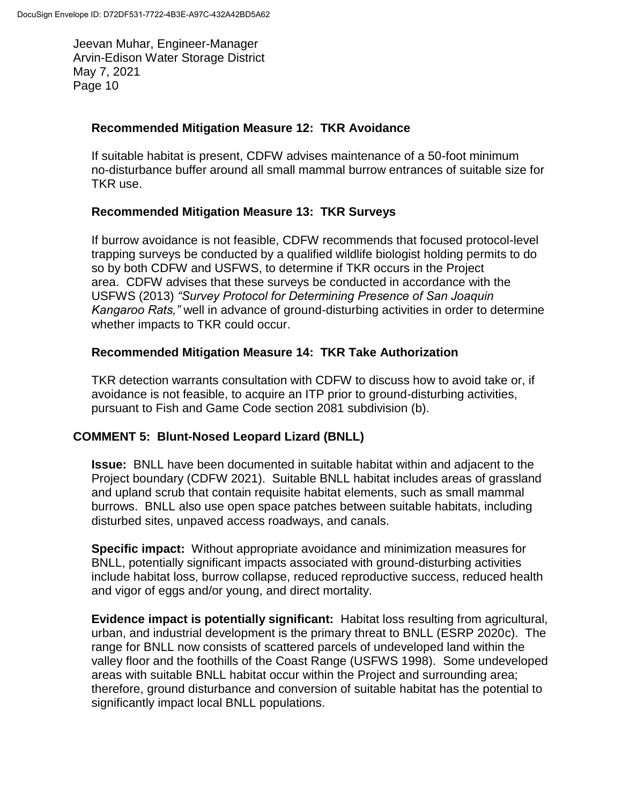#### **Recommended Mitigation Measure 12: TKR Avoidance**

If suitable habitat is present, CDFW advises maintenance of a 50-foot minimum no-disturbance buffer around all small mammal burrow entrances of suitable size for TKR use.

### **Recommended Mitigation Measure 13: TKR Surveys**

If burrow avoidance is not feasible, CDFW recommends that focused protocol-level trapping surveys be conducted by a qualified wildlife biologist holding permits to do so by both CDFW and USFWS, to determine if TKR occurs in the Project area. CDFW advises that these surveys be conducted in accordance with the USFWS (2013) *"Survey Protocol for Determining Presence of San Joaquin Kangaroo Rats,"* well in advance of ground-disturbing activities in order to determine whether impacts to TKR could occur.

### **Recommended Mitigation Measure 14: TKR Take Authorization**

TKR detection warrants consultation with CDFW to discuss how to avoid take or, if avoidance is not feasible, to acquire an ITP prior to ground-disturbing activities, pursuant to Fish and Game Code section 2081 subdivision (b).

### **COMMENT 5: Blunt-Nosed Leopard Lizard (BNLL)**

**Issue:** BNLL have been documented in suitable habitat within and adjacent to the Project boundary (CDFW 2021). Suitable BNLL habitat includes areas of grassland and upland scrub that contain requisite habitat elements, such as small mammal burrows. BNLL also use open space patches between suitable habitats, including disturbed sites, unpaved access roadways, and canals.

**Specific impact:** Without appropriate avoidance and minimization measures for BNLL, potentially significant impacts associated with ground-disturbing activities include habitat loss, burrow collapse, reduced reproductive success, reduced health and vigor of eggs and/or young, and direct mortality.

**Evidence impact is potentially significant:** Habitat loss resulting from agricultural, urban, and industrial development is the primary threat to BNLL (ESRP 2020c). The range for BNLL now consists of scattered parcels of undeveloped land within the valley floor and the foothills of the Coast Range (USFWS 1998). Some undeveloped areas with suitable BNLL habitat occur within the Project and surrounding area; therefore, ground disturbance and conversion of suitable habitat has the potential to significantly impact local BNLL populations.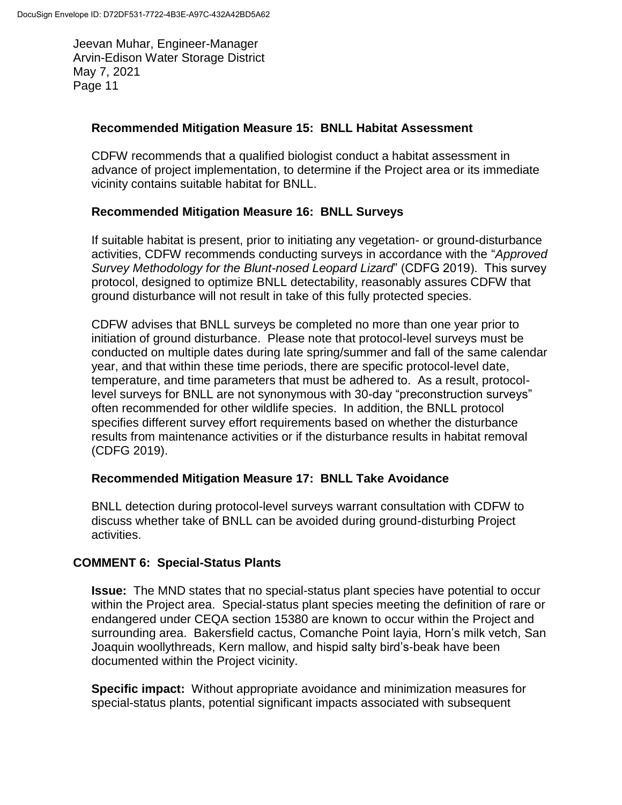#### **Recommended Mitigation Measure 15: BNLL Habitat Assessment**

CDFW recommends that a qualified biologist conduct a habitat assessment in advance of project implementation, to determine if the Project area or its immediate vicinity contains suitable habitat for BNLL.

#### **Recommended Mitigation Measure 16: BNLL Surveys**

If suitable habitat is present, prior to initiating any vegetation- or ground-disturbance activities, CDFW recommends conducting surveys in accordance with the "*Approved Survey Methodology for the Blunt-nosed Leopard Lizard*" (CDFG 2019). This survey protocol, designed to optimize BNLL detectability, reasonably assures CDFW that ground disturbance will not result in take of this fully protected species.

CDFW advises that BNLL surveys be completed no more than one year prior to initiation of ground disturbance. Please note that protocol-level surveys must be conducted on multiple dates during late spring/summer and fall of the same calendar year, and that within these time periods, there are specific protocol-level date, temperature, and time parameters that must be adhered to. As a result, protocollevel surveys for BNLL are not synonymous with 30-day "preconstruction surveys" often recommended for other wildlife species. In addition, the BNLL protocol specifies different survey effort requirements based on whether the disturbance results from maintenance activities or if the disturbance results in habitat removal (CDFG 2019).

#### **Recommended Mitigation Measure 17: BNLL Take Avoidance**

BNLL detection during protocol-level surveys warrant consultation with CDFW to discuss whether take of BNLL can be avoided during ground-disturbing Project activities.

### **COMMENT 6: Special-Status Plants**

**Issue:** The MND states that no special-status plant species have potential to occur within the Project area. Special-status plant species meeting the definition of rare or endangered under CEQA section 15380 are known to occur within the Project and surrounding area. Bakersfield cactus, Comanche Point layia, Horn's milk vetch, San Joaquin woollythreads, Kern mallow, and hispid salty bird's-beak have been documented within the Project vicinity.

**Specific impact:** Without appropriate avoidance and minimization measures for special-status plants, potential significant impacts associated with subsequent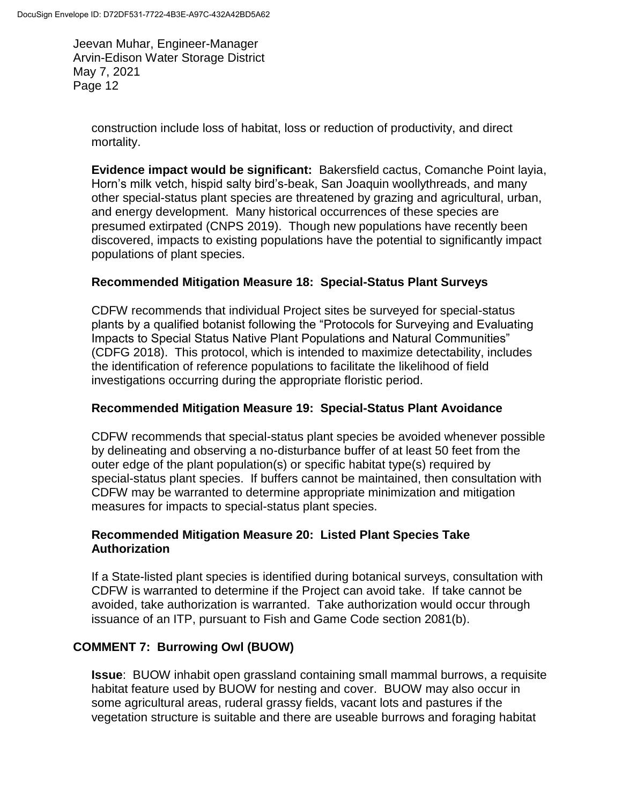construction include loss of habitat, loss or reduction of productivity, and direct mortality.

**Evidence impact would be significant:** Bakersfield cactus, Comanche Point layia, Horn's milk vetch, hispid salty bird's-beak, San Joaquin woollythreads, and many other special-status plant species are threatened by grazing and agricultural, urban, and energy development. Many historical occurrences of these species are presumed extirpated (CNPS 2019). Though new populations have recently been discovered, impacts to existing populations have the potential to significantly impact populations of plant species.

# **Recommended Mitigation Measure 18: Special-Status Plant Surveys**

CDFW recommends that individual Project sites be surveyed for special-status plants by a qualified botanist following the "Protocols for Surveying and Evaluating Impacts to Special Status Native Plant Populations and Natural Communities" (CDFG 2018). This protocol, which is intended to maximize detectability, includes the identification of reference populations to facilitate the likelihood of field investigations occurring during the appropriate floristic period.

## **Recommended Mitigation Measure 19: Special-Status Plant Avoidance**

CDFW recommends that special-status plant species be avoided whenever possible by delineating and observing a no-disturbance buffer of at least 50 feet from the outer edge of the plant population(s) or specific habitat type(s) required by special-status plant species. If buffers cannot be maintained, then consultation with CDFW may be warranted to determine appropriate minimization and mitigation measures for impacts to special-status plant species.

### **Recommended Mitigation Measure 20: Listed Plant Species Take Authorization**

If a State-listed plant species is identified during botanical surveys, consultation with CDFW is warranted to determine if the Project can avoid take. If take cannot be avoided, take authorization is warranted. Take authorization would occur through issuance of an ITP, pursuant to Fish and Game Code section 2081(b).

# **COMMENT 7: Burrowing Owl (BUOW)**

**Issue**: BUOW inhabit open grassland containing small mammal burrows, a requisite habitat feature used by BUOW for nesting and cover. BUOW may also occur in some agricultural areas, ruderal grassy fields, vacant lots and pastures if the vegetation structure is suitable and there are useable burrows and foraging habitat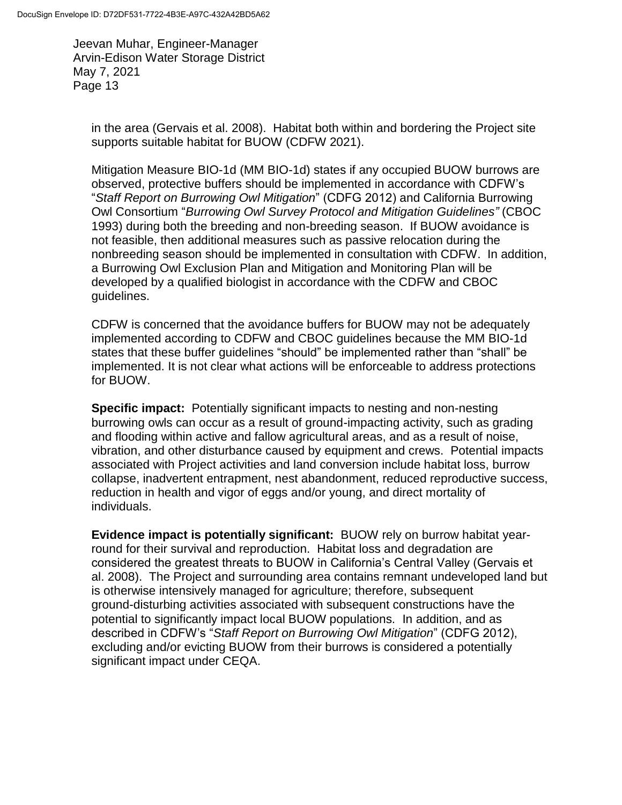in the area (Gervais et al. 2008). Habitat both within and bordering the Project site supports suitable habitat for BUOW (CDFW 2021).

Mitigation Measure BIO-1d (MM BIO-1d) states if any occupied BUOW burrows are observed, protective buffers should be implemented in accordance with CDFW's "*Staff Report on Burrowing Owl Mitigation*" (CDFG 2012) and California Burrowing Owl Consortium "*Burrowing Owl Survey Protocol and Mitigation Guidelines"* (CBOC 1993) during both the breeding and non-breeding season. If BUOW avoidance is not feasible, then additional measures such as passive relocation during the nonbreeding season should be implemented in consultation with CDFW. In addition, a Burrowing Owl Exclusion Plan and Mitigation and Monitoring Plan will be developed by a qualified biologist in accordance with the CDFW and CBOC guidelines.

CDFW is concerned that the avoidance buffers for BUOW may not be adequately implemented according to CDFW and CBOC guidelines because the MM BIO-1d states that these buffer guidelines "should" be implemented rather than "shall" be implemented. It is not clear what actions will be enforceable to address protections for BUOW.

**Specific impact:** Potentially significant impacts to nesting and non-nesting burrowing owls can occur as a result of ground-impacting activity, such as grading and flooding within active and fallow agricultural areas, and as a result of noise, vibration, and other disturbance caused by equipment and crews. Potential impacts associated with Project activities and land conversion include habitat loss, burrow collapse, inadvertent entrapment, nest abandonment, reduced reproductive success, reduction in health and vigor of eggs and/or young, and direct mortality of individuals.

**Evidence impact is potentially significant:** BUOW rely on burrow habitat yearround for their survival and reproduction. Habitat loss and degradation are considered the greatest threats to BUOW in California's Central Valley (Gervais et al. 2008). The Project and surrounding area contains remnant undeveloped land but is otherwise intensively managed for agriculture; therefore, subsequent ground-disturbing activities associated with subsequent constructions have the potential to significantly impact local BUOW populations. In addition, and as described in CDFW's "*Staff Report on Burrowing Owl Mitigation*" (CDFG 2012), excluding and/or evicting BUOW from their burrows is considered a potentially significant impact under CEQA.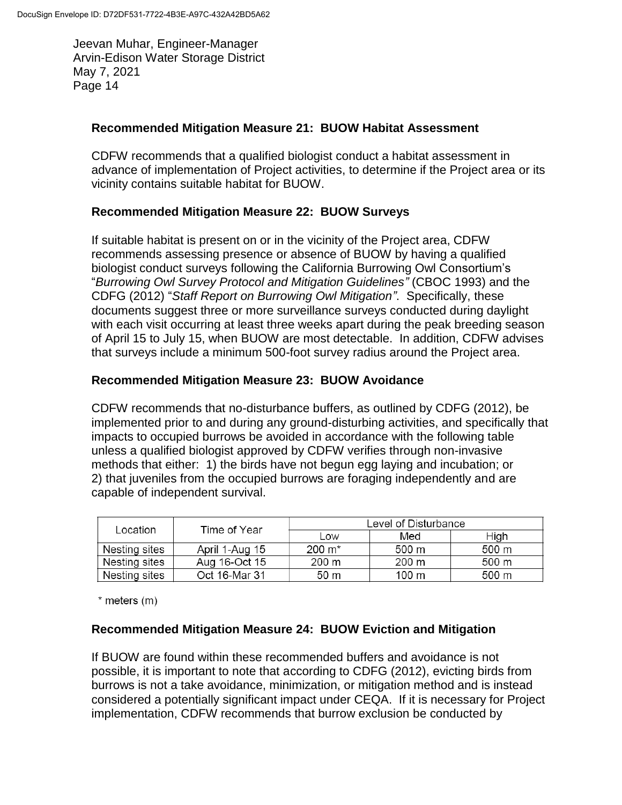#### **Recommended Mitigation Measure 21: BUOW Habitat Assessment**

CDFW recommends that a qualified biologist conduct a habitat assessment in advance of implementation of Project activities, to determine if the Project area or its vicinity contains suitable habitat for BUOW.

### **Recommended Mitigation Measure 22: BUOW Surveys**

If suitable habitat is present on or in the vicinity of the Project area, CDFW recommends assessing presence or absence of BUOW by having a qualified biologist conduct surveys following the California Burrowing Owl Consortium's "*Burrowing Owl Survey Protocol and Mitigation Guidelines"* (CBOC 1993) and the CDFG (2012) "*Staff Report on Burrowing Owl Mitigation"*. Specifically, these documents suggest three or more surveillance surveys conducted during daylight with each visit occurring at least three weeks apart during the peak breeding season of April 15 to July 15, when BUOW are most detectable. In addition, CDFW advises that surveys include a minimum 500-foot survey radius around the Project area.

#### **Recommended Mitigation Measure 23: BUOW Avoidance**

CDFW recommends that no-disturbance buffers, as outlined by CDFG (2012), be implemented prior to and during any ground-disturbing activities, and specifically that impacts to occupied burrows be avoided in accordance with the following table unless a qualified biologist approved by CDFW verifies through non-invasive methods that either: 1) the birds have not begun egg laying and incubation; or 2) that juveniles from the occupied burrows are foraging independently and are capable of independent survival.

| Location      | Time of Year   | Level of Disturbance |       |       |
|---------------|----------------|----------------------|-------|-------|
|               |                | Low                  | Med   | High  |
| Nesting sites | April 1-Aug 15 | $200 \; \text{m}^*$  | 500 m | 500 m |
| Nesting sites | Aug 16-Oct 15  | 200 m                | 200 m | 500 m |
| Nesting sites | Oct 16-Mar 31  | 50 m                 | 100 m | 500 m |

 $*$  meters  $(m)$ 

#### **Recommended Mitigation Measure 24: BUOW Eviction and Mitigation**

If BUOW are found within these recommended buffers and avoidance is not possible, it is important to note that according to CDFG (2012), evicting birds from burrows is not a take avoidance, minimization, or mitigation method and is instead considered a potentially significant impact under CEQA. If it is necessary for Project implementation, CDFW recommends that burrow exclusion be conducted by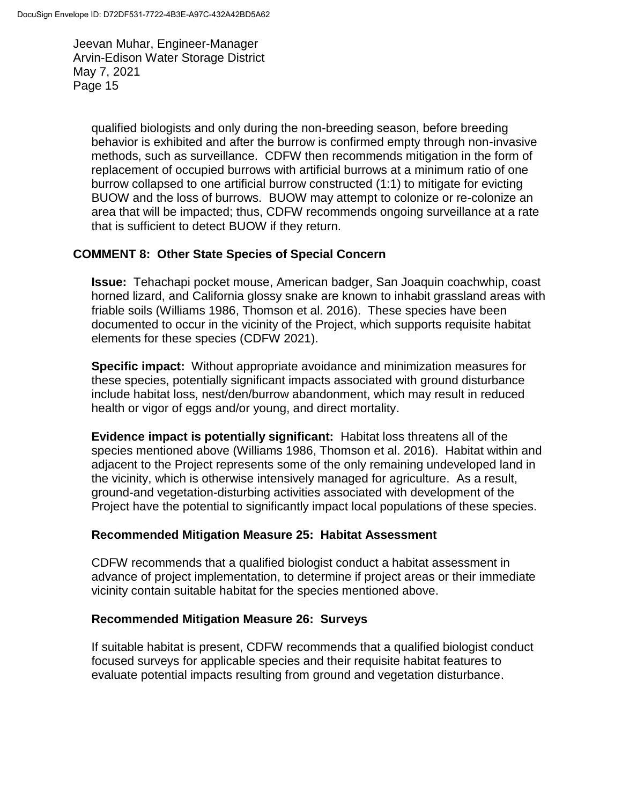qualified biologists and only during the non-breeding season, before breeding behavior is exhibited and after the burrow is confirmed empty through non-invasive methods, such as surveillance. CDFW then recommends mitigation in the form of replacement of occupied burrows with artificial burrows at a minimum ratio of one burrow collapsed to one artificial burrow constructed (1:1) to mitigate for evicting BUOW and the loss of burrows. BUOW may attempt to colonize or re-colonize an area that will be impacted; thus, CDFW recommends ongoing surveillance at a rate that is sufficient to detect BUOW if they return.

### **COMMENT 8: Other State Species of Special Concern**

**Issue:** Tehachapi pocket mouse, American badger, San Joaquin coachwhip, coast horned lizard, and California glossy snake are known to inhabit grassland areas with friable soils (Williams 1986, Thomson et al. 2016). These species have been documented to occur in the vicinity of the Project, which supports requisite habitat elements for these species (CDFW 2021).

**Specific impact:** Without appropriate avoidance and minimization measures for these species, potentially significant impacts associated with ground disturbance include habitat loss, nest/den/burrow abandonment, which may result in reduced health or vigor of eggs and/or young, and direct mortality.

**Evidence impact is potentially significant:** Habitat loss threatens all of the species mentioned above (Williams 1986, Thomson et al. 2016). Habitat within and adjacent to the Project represents some of the only remaining undeveloped land in the vicinity, which is otherwise intensively managed for agriculture. As a result, ground-and vegetation-disturbing activities associated with development of the Project have the potential to significantly impact local populations of these species.

### **Recommended Mitigation Measure 25: Habitat Assessment**

CDFW recommends that a qualified biologist conduct a habitat assessment in advance of project implementation, to determine if project areas or their immediate vicinity contain suitable habitat for the species mentioned above.

### **Recommended Mitigation Measure 26: Surveys**

If suitable habitat is present, CDFW recommends that a qualified biologist conduct focused surveys for applicable species and their requisite habitat features to evaluate potential impacts resulting from ground and vegetation disturbance.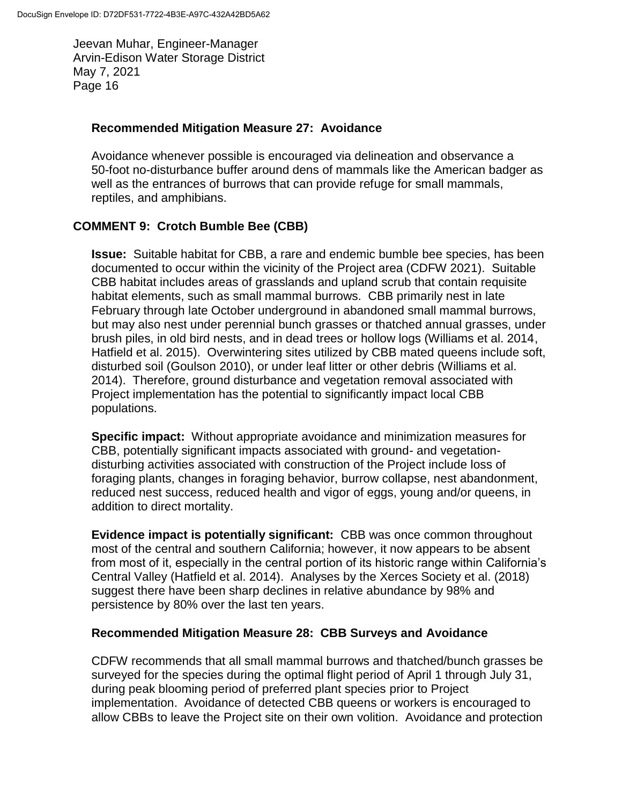#### **Recommended Mitigation Measure 27: Avoidance**

Avoidance whenever possible is encouraged via delineation and observance a 50-foot no-disturbance buffer around dens of mammals like the American badger as well as the entrances of burrows that can provide refuge for small mammals, reptiles, and amphibians.

### **COMMENT 9: Crotch Bumble Bee (CBB)**

**Issue:** Suitable habitat for CBB, a rare and endemic bumble bee species, has been documented to occur within the vicinity of the Project area (CDFW 2021). Suitable CBB habitat includes areas of grasslands and upland scrub that contain requisite habitat elements, such as small mammal burrows. CBB primarily nest in late February through late October underground in abandoned small mammal burrows, but may also nest under perennial bunch grasses or thatched annual grasses, under brush piles, in old bird nests, and in dead trees or hollow logs (Williams et al. 2014, Hatfield et al. 2015). Overwintering sites utilized by CBB mated queens include soft, disturbed soil (Goulson 2010), or under leaf litter or other debris (Williams et al. 2014). Therefore, ground disturbance and vegetation removal associated with Project implementation has the potential to significantly impact local CBB populations.

**Specific impact:** Without appropriate avoidance and minimization measures for CBB, potentially significant impacts associated with ground- and vegetationdisturbing activities associated with construction of the Project include loss of foraging plants, changes in foraging behavior, burrow collapse, nest abandonment, reduced nest success, reduced health and vigor of eggs, young and/or queens, in addition to direct mortality.

**Evidence impact is potentially significant:** CBB was once common throughout most of the central and southern California; however, it now appears to be absent from most of it, especially in the central portion of its historic range within California's Central Valley (Hatfield et al. 2014). Analyses by the Xerces Society et al. (2018) suggest there have been sharp declines in relative abundance by 98% and persistence by 80% over the last ten years.

### **Recommended Mitigation Measure 28: CBB Surveys and Avoidance**

CDFW recommends that all small mammal burrows and thatched/bunch grasses be surveyed for the species during the optimal flight period of April 1 through July 31, during peak blooming period of preferred plant species prior to Project implementation. Avoidance of detected CBB queens or workers is encouraged to allow CBBs to leave the Project site on their own volition. Avoidance and protection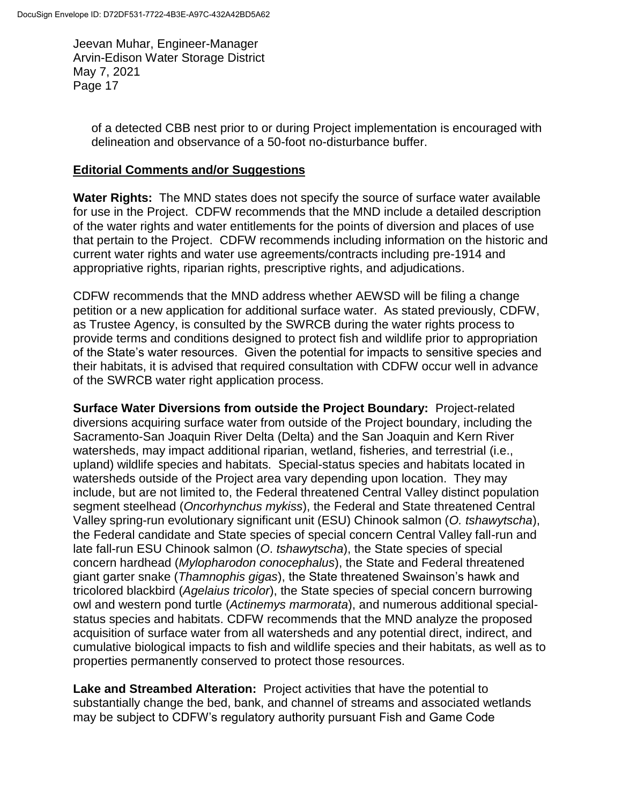of a detected CBB nest prior to or during Project implementation is encouraged with delineation and observance of a 50-foot no-disturbance buffer.

### **Editorial Comments and/or Suggestions**

**Water Rights:** The MND states does not specify the source of surface water available for use in the Project. CDFW recommends that the MND include a detailed description of the water rights and water entitlements for the points of diversion and places of use that pertain to the Project. CDFW recommends including information on the historic and current water rights and water use agreements/contracts including pre-1914 and appropriative rights, riparian rights, prescriptive rights, and adjudications.

CDFW recommends that the MND address whether AEWSD will be filing a change petition or a new application for additional surface water. As stated previously, CDFW, as Trustee Agency, is consulted by the SWRCB during the water rights process to provide terms and conditions designed to protect fish and wildlife prior to appropriation of the State's water resources. Given the potential for impacts to sensitive species and their habitats, it is advised that required consultation with CDFW occur well in advance of the SWRCB water right application process.

**Surface Water Diversions from outside the Project Boundary:** Project-related diversions acquiring surface water from outside of the Project boundary, including the Sacramento-San Joaquin River Delta (Delta) and the San Joaquin and Kern River watersheds, may impact additional riparian, wetland, fisheries, and terrestrial (i.e., upland) wildlife species and habitats. Special-status species and habitats located in watersheds outside of the Project area vary depending upon location. They may include, but are not limited to, the Federal threatened Central Valley distinct population segment steelhead (*Oncorhynchus mykiss*), the Federal and State threatened Central Valley spring-run evolutionary significant unit (ESU) Chinook salmon (*O. tshawytscha*), the Federal candidate and State species of special concern Central Valley fall-run and late fall-run ESU Chinook salmon (*O*. *tshawytscha*), the State species of special concern hardhead (*Mylopharodon conocephalus*), the State and Federal threatened giant garter snake (*Thamnophis gigas*), the State threatened Swainson's hawk and tricolored blackbird (*Agelaius tricolor*), the State species of special concern burrowing owl and western pond turtle (*Actinemys marmorata*), and numerous additional specialstatus species and habitats. CDFW recommends that the MND analyze the proposed acquisition of surface water from all watersheds and any potential direct, indirect, and cumulative biological impacts to fish and wildlife species and their habitats, as well as to properties permanently conserved to protect those resources.

**Lake and Streambed Alteration:** Project activities that have the potential to substantially change the bed, bank, and channel of streams and associated wetlands may be subject to CDFW's regulatory authority pursuant Fish and Game Code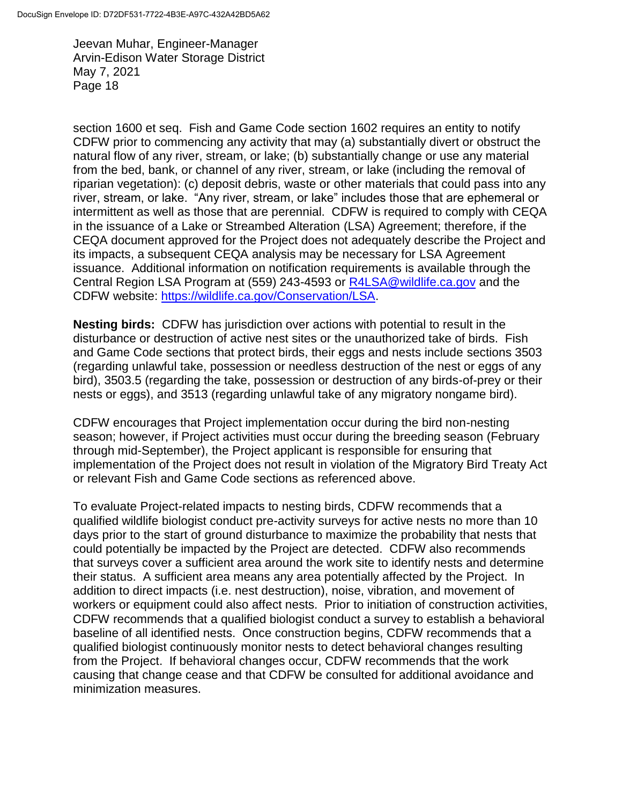section 1600 et seq. Fish and Game Code section 1602 requires an entity to notify CDFW prior to commencing any activity that may (a) substantially divert or obstruct the natural flow of any river, stream, or lake; (b) substantially change or use any material from the bed, bank, or channel of any river, stream, or lake (including the removal of riparian vegetation): (c) deposit debris, waste or other materials that could pass into any river, stream, or lake. "Any river, stream, or lake" includes those that are ephemeral or intermittent as well as those that are perennial. CDFW is required to comply with CEQA in the issuance of a Lake or Streambed Alteration (LSA) Agreement; therefore, if the CEQA document approved for the Project does not adequately describe the Project and its impacts, a subsequent CEQA analysis may be necessary for LSA Agreement issuance. Additional information on notification requirements is available through the Central Region LSA Program at (559) 243-4593 or [R4LSA@wildlife.ca.gov](mailto:R4LSA@wildlife.ca.gov) and the CDFW website: [https://wildlife.ca.gov/Conservation/LSA.](https://wildlife.ca.gov/Conservation/LSA)

**Nesting birds:** CDFW has jurisdiction over actions with potential to result in the disturbance or destruction of active nest sites or the unauthorized take of birds. Fish and Game Code sections that protect birds, their eggs and nests include sections 3503 (regarding unlawful take, possession or needless destruction of the nest or eggs of any bird), 3503.5 (regarding the take, possession or destruction of any birds-of-prey or their nests or eggs), and 3513 (regarding unlawful take of any migratory nongame bird).

CDFW encourages that Project implementation occur during the bird non-nesting season; however, if Project activities must occur during the breeding season (February through mid-September), the Project applicant is responsible for ensuring that implementation of the Project does not result in violation of the Migratory Bird Treaty Act or relevant Fish and Game Code sections as referenced above.

To evaluate Project-related impacts to nesting birds, CDFW recommends that a qualified wildlife biologist conduct pre-activity surveys for active nests no more than 10 days prior to the start of ground disturbance to maximize the probability that nests that could potentially be impacted by the Project are detected. CDFW also recommends that surveys cover a sufficient area around the work site to identify nests and determine their status. A sufficient area means any area potentially affected by the Project. In addition to direct impacts (i.e. nest destruction), noise, vibration, and movement of workers or equipment could also affect nests. Prior to initiation of construction activities, CDFW recommends that a qualified biologist conduct a survey to establish a behavioral baseline of all identified nests. Once construction begins, CDFW recommends that a qualified biologist continuously monitor nests to detect behavioral changes resulting from the Project. If behavioral changes occur, CDFW recommends that the work causing that change cease and that CDFW be consulted for additional avoidance and minimization measures.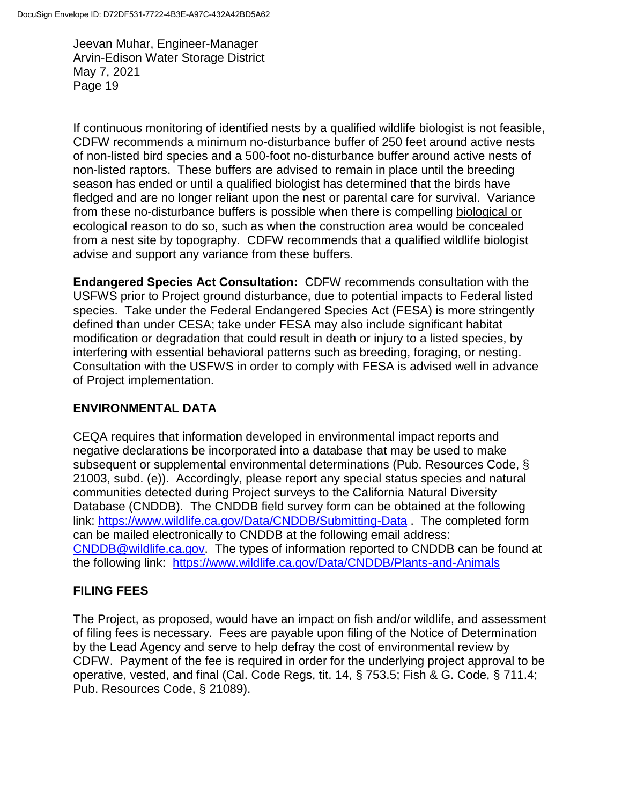If continuous monitoring of identified nests by a qualified wildlife biologist is not feasible, CDFW recommends a minimum no-disturbance buffer of 250 feet around active nests of non-listed bird species and a 500-foot no-disturbance buffer around active nests of non-listed raptors. These buffers are advised to remain in place until the breeding season has ended or until a qualified biologist has determined that the birds have fledged and are no longer reliant upon the nest or parental care for survival. Variance from these no-disturbance buffers is possible when there is compelling biological or ecological reason to do so, such as when the construction area would be concealed from a nest site by topography. CDFW recommends that a qualified wildlife biologist advise and support any variance from these buffers.

**Endangered Species Act Consultation:** CDFW recommends consultation with the USFWS prior to Project ground disturbance, due to potential impacts to Federal listed species. Take under the Federal Endangered Species Act (FESA) is more stringently defined than under CESA; take under FESA may also include significant habitat modification or degradation that could result in death or injury to a listed species, by interfering with essential behavioral patterns such as breeding, foraging, or nesting. Consultation with the USFWS in order to comply with FESA is advised well in advance of Project implementation.

# **ENVIRONMENTAL DATA**

CEQA requires that information developed in environmental impact reports and negative declarations be incorporated into a database that may be used to make subsequent or supplemental environmental determinations (Pub. Resources Code, § 21003, subd. (e)). Accordingly, please report any special status species and natural communities detected during Project surveys to the California Natural Diversity Database (CNDDB). The CNDDB field survey form can be obtained at the following link:<https://www.wildlife.ca.gov/Data/CNDDB/Submitting-Data> . The completed form can be mailed electronically to CNDDB at the following email address: [CNDDB@wildlife.ca.gov.](mailto:cnddb@dfg.ca.gov) The types of information reported to CNDDB can be found at the following link: <https://www.wildlife.ca.gov/Data/CNDDB/Plants-and-Animals>

# **FILING FEES**

The Project, as proposed, would have an impact on fish and/or wildlife, and assessment of filing fees is necessary. Fees are payable upon filing of the Notice of Determination by the Lead Agency and serve to help defray the cost of environmental review by CDFW. Payment of the fee is required in order for the underlying project approval to be operative, vested, and final (Cal. Code Regs, tit. 14, § 753.5; Fish & G. Code, § 711.4; Pub. Resources Code, § 21089).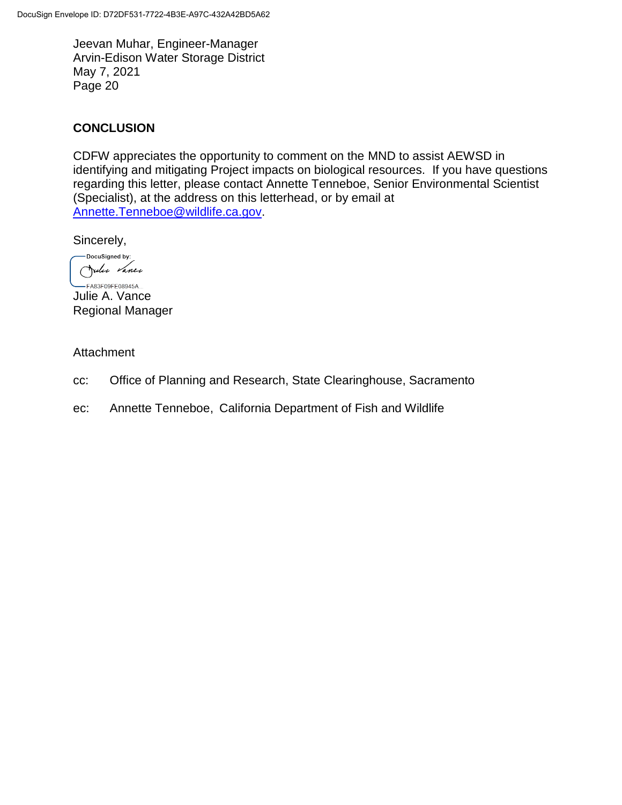# **CONCLUSION**

CDFW appreciates the opportunity to comment on the MND to assist AEWSD in identifying and mitigating Project impacts on biological resources. If you have questions regarding this letter, please contact Annette Tenneboe, Senior Environmental Scientist (Specialist), at the address on this letterhead, or by email at [Annette.Tenneboe@wildlife.ca.gov.](mailto:Annette.Tenneboe@wildlife.ca.gov)

Sincerely,

**-DocuSigned by:** Julie Vance

 $-$ FA83F09FE08945A... Julie A. Vance Regional Manager

#### Attachment

- cc: Office of Planning and Research, State Clearinghouse, Sacramento
- ec: Annette Tenneboe, California Department of Fish and Wildlife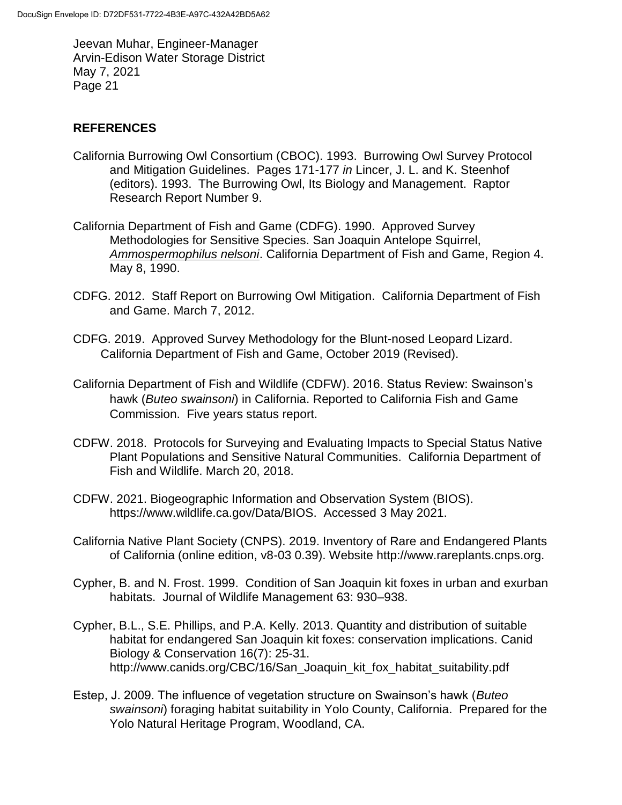## **REFERENCES**

- California Burrowing Owl Consortium (CBOC). 1993. Burrowing Owl Survey Protocol and Mitigation Guidelines. Pages 171-177 *in* Lincer, J. L. and K. Steenhof (editors). 1993. The Burrowing Owl, Its Biology and Management. Raptor Research Report Number 9.
- California Department of Fish and Game (CDFG). 1990. Approved Survey Methodologies for Sensitive Species. San Joaquin Antelope Squirrel, *Ammospermophilus nelsoni*. California Department of Fish and Game, Region 4. May 8, 1990.
- CDFG. 2012. Staff Report on Burrowing Owl Mitigation. California Department of Fish and Game. March 7, 2012.
- CDFG. 2019. Approved Survey Methodology for the Blunt-nosed Leopard Lizard. California Department of Fish and Game, October 2019 (Revised).
- California Department of Fish and Wildlife (CDFW). 2016. Status Review: Swainson's hawk (*Buteo swainsoni*) in California. Reported to California Fish and Game Commission. Five years status report.
- CDFW. 2018. Protocols for Surveying and Evaluating Impacts to Special Status Native Plant Populations and Sensitive Natural Communities. California Department of Fish and Wildlife. March 20, 2018.
- CDFW. 2021. Biogeographic Information and Observation System (BIOS). https://www.wildlife.ca.gov/Data/BIOS. Accessed 3 May 2021.
- California Native Plant Society (CNPS). 2019. Inventory of Rare and Endangered Plants of California (online edition, v8-03 0.39). Website http://www.rareplants.cnps.org.
- Cypher, B. and N. Frost. 1999. Condition of San Joaquin kit foxes in urban and exurban habitats. Journal of Wildlife Management 63: 930–938.
- Cypher, B.L., S.E. Phillips, and P.A. Kelly. 2013. Quantity and distribution of suitable habitat for endangered San Joaquin kit foxes: conservation implications. Canid Biology & Conservation 16(7): 25-31. http://www.canids.org/CBC/16/San\_Joaquin\_kit\_fox\_habitat\_suitability.pdf
- Estep, J. 2009. The influence of vegetation structure on Swainson's hawk (*Buteo swainsoni*) foraging habitat suitability in Yolo County, California. Prepared for the Yolo Natural Heritage Program, Woodland, CA.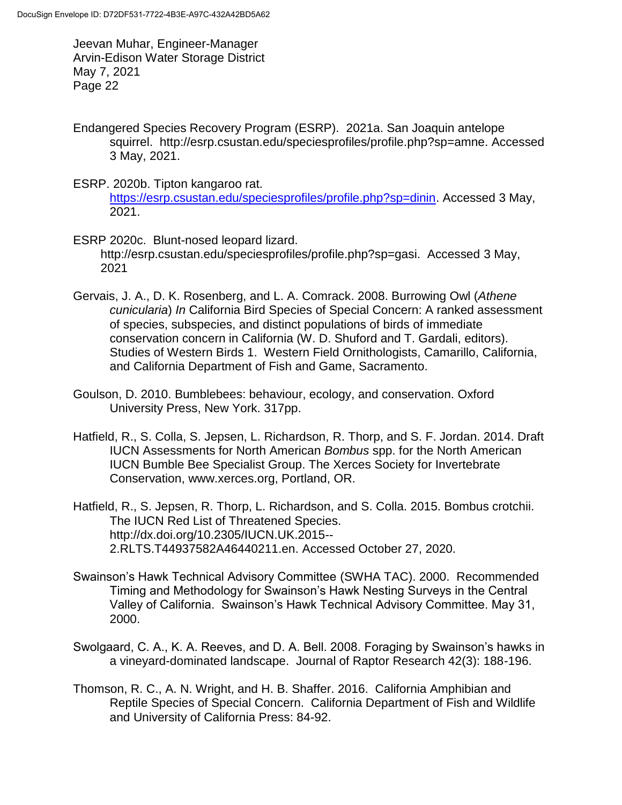- Endangered Species Recovery Program (ESRP). 2021a. San Joaquin antelope squirrel. http://esrp.csustan.edu/speciesprofiles/profile.php?sp=amne. Accessed 3 May, 2021.
- ESRP. 2020b. Tipton kangaroo rat. [https://esrp.csustan.edu/speciesprofiles/profile.php?sp=dinin.](https://esrp.csustan.edu/speciesprofiles/profile.php?sp=dinin) Accessed 3 May, 2021.
- ESRP 2020c. Blunt-nosed leopard lizard. http://esrp.csustan.edu/speciesprofiles/profile.php?sp=gasi. Accessed 3 May, 2021
- Gervais, J. A., D. K. Rosenberg, and L. A. Comrack. 2008. Burrowing Owl (*Athene cunicularia*) *In* California Bird Species of Special Concern: A ranked assessment of species, subspecies, and distinct populations of birds of immediate conservation concern in California (W. D. Shuford and T. Gardali, editors). Studies of Western Birds 1. Western Field Ornithologists, Camarillo, California, and California Department of Fish and Game, Sacramento.
- Goulson, D. 2010. Bumblebees: behaviour, ecology, and conservation. Oxford University Press, New York. 317pp.
- Hatfield, R., S. Colla, S. Jepsen, L. Richardson, R. Thorp, and S. F. Jordan. 2014. Draft IUCN Assessments for North American *Bombus* spp. for the North American IUCN Bumble Bee Specialist Group. The Xerces Society for Invertebrate Conservation, www.xerces.org, Portland, OR.
- Hatfield, R., S. Jepsen, R. Thorp, L. Richardson, and S. Colla. 2015. Bombus crotchii. The IUCN Red List of Threatened Species. http://dx.doi.org/10.2305/IUCN.UK.2015-- 2.RLTS.T44937582A46440211.en. Accessed October 27, 2020.
- Swainson's Hawk Technical Advisory Committee (SWHA TAC). 2000. Recommended Timing and Methodology for Swainson's Hawk Nesting Surveys in the Central Valley of California. Swainson's Hawk Technical Advisory Committee. May 31, 2000.
- Swolgaard, C. A., K. A. Reeves, and D. A. Bell. 2008. Foraging by Swainson's hawks in a vineyard-dominated landscape. Journal of Raptor Research 42(3): 188-196.
- Thomson, R. C., A. N. Wright, and H. B. Shaffer. 2016. California Amphibian and Reptile Species of Special Concern. California Department of Fish and Wildlife and University of California Press: 84-92.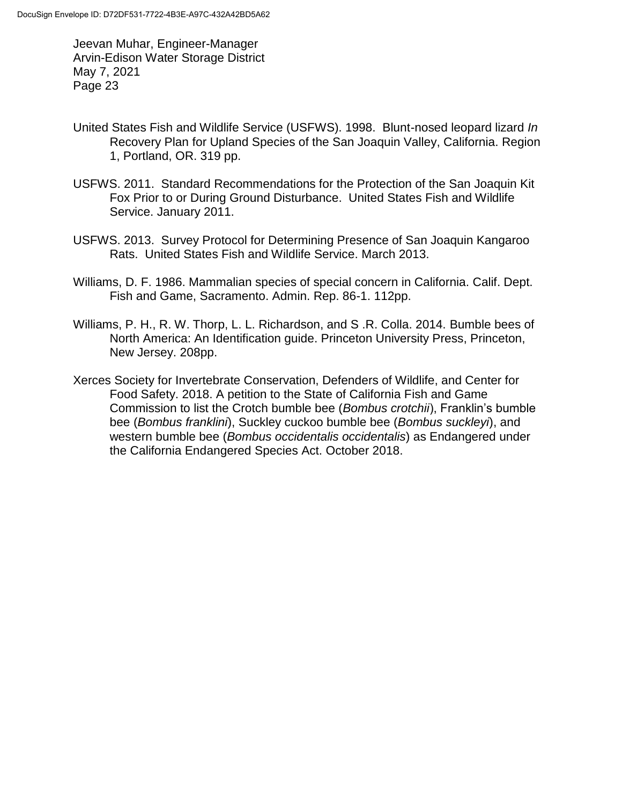- United States Fish and Wildlife Service (USFWS). 1998. Blunt-nosed leopard lizard *In*  Recovery Plan for Upland Species of the San Joaquin Valley, California. Region 1, Portland, OR. 319 pp.
- USFWS. 2011. Standard Recommendations for the Protection of the San Joaquin Kit Fox Prior to or During Ground Disturbance. United States Fish and Wildlife Service. January 2011.
- USFWS. 2013. Survey Protocol for Determining Presence of San Joaquin Kangaroo Rats. United States Fish and Wildlife Service. March 2013.
- Williams, D. F. 1986. Mammalian species of special concern in California. Calif. Dept. Fish and Game, Sacramento. Admin. Rep. 86-1. 112pp.
- Williams, P. H., R. W. Thorp, L. L. Richardson, and S .R. Colla. 2014. Bumble bees of North America: An Identification guide. Princeton University Press, Princeton, New Jersey. 208pp.
- Xerces Society for Invertebrate Conservation, Defenders of Wildlife, and Center for Food Safety. 2018. A petition to the State of California Fish and Game Commission to list the Crotch bumble bee (*Bombus crotchii*), Franklin's bumble bee (*Bombus franklini*), Suckley cuckoo bumble bee (*Bombus suckleyi*), and western bumble bee (*Bombus occidentalis occidentalis*) as Endangered under the California Endangered Species Act. October 2018.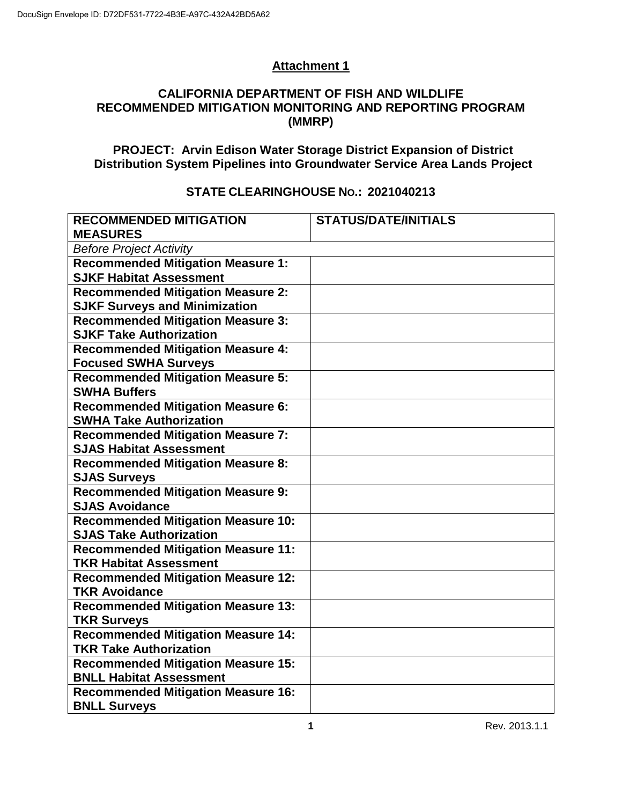# **Attachment 1**

#### **CALIFORNIA DEPARTMENT OF FISH AND WILDLIFE RECOMMENDED MITIGATION MONITORING AND REPORTING PROGRAM (MMRP)**

**PROJECT: Arvin Edison Water Storage District Expansion of District Distribution System Pipelines into Groundwater Service Area Lands Project**

#### **RECOMMENDED MITIGATION MEASURES STATUS/DATE/INITIALS** *Before Project Activity* **Recommended Mitigation Measure 1: SJKF Habitat Assessment Recommended Mitigation Measure 2: SJKF Surveys and Minimization Recommended Mitigation Measure 3: SJKF Take Authorization Recommended Mitigation Measure 4: Focused SWHA Surveys Recommended Mitigation Measure 5: SWHA Buffers Recommended Mitigation Measure 6: SWHA Take Authorization Recommended Mitigation Measure 7: SJAS Habitat Assessment Recommended Mitigation Measure 8: SJAS Surveys Recommended Mitigation Measure 9: SJAS Avoidance Recommended Mitigation Measure 10: SJAS Take Authorization Recommended Mitigation Measure 11: TKR Habitat Assessment Recommended Mitigation Measure 12: TKR Avoidance Recommended Mitigation Measure 13: TKR Surveys Recommended Mitigation Measure 14: TKR Take Authorization Recommended Mitigation Measure 15: BNLL Habitat Assessment Recommended Mitigation Measure 16: BNLL Surveys**

### **STATE CLEARINGHOUSE NO.: 2021040213**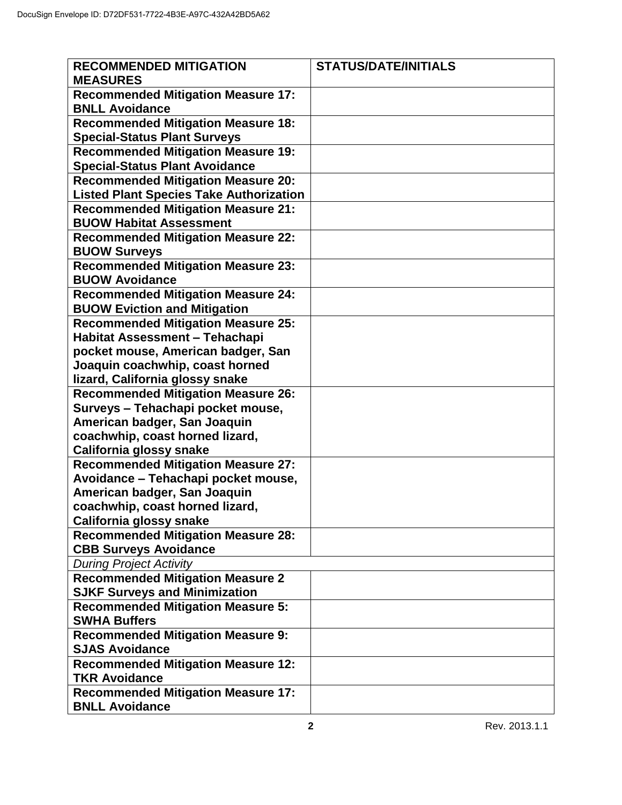| <b>RECOMMENDED MITIGATION</b><br><b>MEASURES</b>                                                         | <b>STATUS/DATE/INITIALS</b> |
|----------------------------------------------------------------------------------------------------------|-----------------------------|
| <b>Recommended Mitigation Measure 17:</b><br><b>BNLL Avoidance</b>                                       |                             |
| <b>Recommended Mitigation Measure 18:</b><br><b>Special-Status Plant Surveys</b>                         |                             |
| <b>Recommended Mitigation Measure 19:</b><br><b>Special-Status Plant Avoidance</b>                       |                             |
| <b>Recommended Mitigation Measure 20:</b><br><b>Listed Plant Species Take Authorization</b>              |                             |
| <b>Recommended Mitigation Measure 21:</b><br><b>BUOW Habitat Assessment</b>                              |                             |
| <b>Recommended Mitigation Measure 22:</b><br><b>BUOW Surveys</b>                                         |                             |
| <b>Recommended Mitigation Measure 23:</b><br><b>BUOW Avoidance</b>                                       |                             |
| <b>Recommended Mitigation Measure 24:</b><br><b>BUOW Eviction and Mitigation</b>                         |                             |
| <b>Recommended Mitigation Measure 25:</b><br>Habitat Assessment - Tehachapi                              |                             |
| pocket mouse, American badger, San<br>Joaquin coachwhip, coast horned<br>lizard, California glossy snake |                             |
| <b>Recommended Mitigation Measure 26:</b><br>Surveys - Tehachapi pocket mouse,                           |                             |
| American badger, San Joaquin<br>coachwhip, coast horned lizard,                                          |                             |
| California glossy snake<br><b>Recommended Mitigation Measure 27:</b>                                     |                             |
| Avoidance - Tehachapi pocket mouse,<br>American badger, San Joaquin                                      |                             |
| coachwhip, coast horned lizard,<br>California glossy snake                                               |                             |
| <b>Recommended Mitigation Measure 28:</b><br><b>CBB Surveys Avoidance</b>                                |                             |
| <b>During Project Activity</b>                                                                           |                             |
| <b>Recommended Mitigation Measure 2</b><br><b>SJKF Surveys and Minimization</b>                          |                             |
| <b>Recommended Mitigation Measure 5:</b><br><b>SWHA Buffers</b>                                          |                             |
| <b>Recommended Mitigation Measure 9:</b><br><b>SJAS Avoidance</b>                                        |                             |
| <b>Recommended Mitigation Measure 12:</b><br><b>TKR Avoidance</b>                                        |                             |
| <b>Recommended Mitigation Measure 17:</b><br><b>BNLL Avoidance</b>                                       |                             |